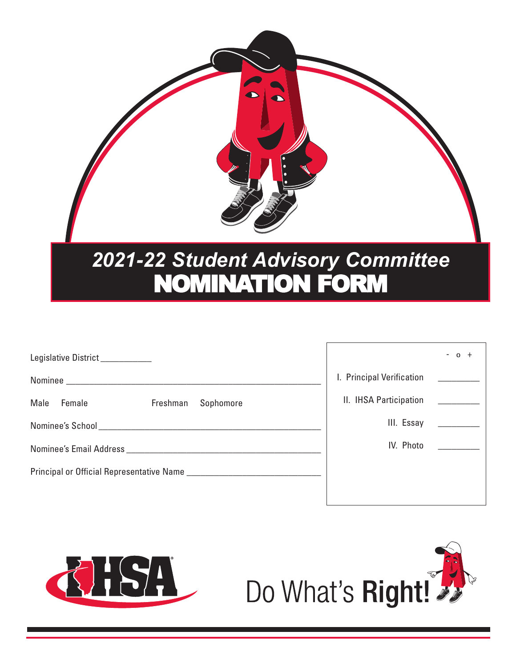

| Legislative District___________                                                                                |                           | $-$ 0 |
|----------------------------------------------------------------------------------------------------------------|---------------------------|-------|
|                                                                                                                | I. Principal Verification |       |
| Male<br>Sophomore<br>Female<br>Freshman                                                                        | II. IHSA Participation    |       |
|                                                                                                                | III. Essay                |       |
| Nominee's Email Address North and Secretary Annual Secretary and Secretary Annual Secretary Annual Secretary A | IV. Photo                 |       |
|                                                                                                                |                           |       |



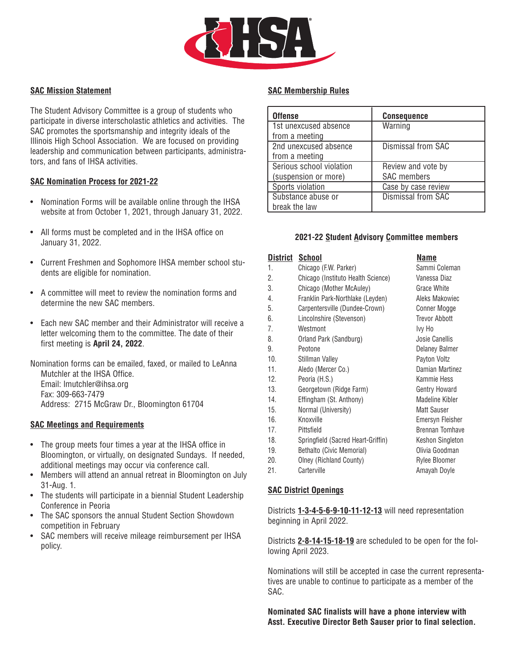

## **SAC Mission Statement**

The Student Advisory Committee is a group of students who participate in diverse interscholastic athletics and activities. The SAC promotes the sportsmanship and integrity ideals of the Illinois High School Association. We are focused on providing leadership and communication between participants, administrators, and fans of IHSA activities.

## **SAC Nomination Process for 2021-22**

- Nomination Forms will be available online through the IHSA website at from October 1, 2021, through January 31, 2022.
- All forms must be completed and in the IHSA office on January 31, 2022.
- Current Freshmen and Sophomore IHSA member school students are eligible for nomination.
- A committee will meet to review the nomination forms and determine the new SAC members.
- Each new SAC member and their Administrator will receive a letter welcoming them to the committee. The date of their first meeting is **April 24, 2022**.

Nomination forms can be emailed, faxed, or mailed to LeAnna Mutchler at the IHSA Office. Email: lmutchler@ihsa.org Fax: 309-663-7479 Address: 2715 McGraw Dr., Bloomington 61704

#### **SAC Meetings and Requirements**

- The group meets four times a year at the IHSA office in Bloomington, or virtually, on designated Sundays. If needed, additional meetings may occur via conference call.
- Members will attend an annual retreat in Bloomington on July 31-Aug. 1.
- The students will participate in a biennial Student Leadership Conference in Peoria
- The SAC sponsors the annual Student Section Showdown competition in February
- SAC members will receive mileage reimbursement per IHSA policy.

## **SAC Membership Rules**

| <b>Offense</b>           | <b>Consequence</b>  |
|--------------------------|---------------------|
| 1st unexcused absence    | Warning             |
| from a meeting           |                     |
| 2nd unexcused absence    | Dismissal from SAC  |
| from a meeting           |                     |
| Serious school violation | Review and vote by  |
| (suspension or more)     | <b>SAC</b> members  |
| Sports violation         | Case by case review |
| Substance abuse or       | Dismissal from SAC  |
| break the law            |                     |

## **2021-22 Student Advisory Committee members**

| District | School                             | Name                   |
|----------|------------------------------------|------------------------|
| 1.       | Chicago (F.W. Parker)              | Sammi Coleman          |
| 2.       | Chicago (Instituto Health Science) | Vanessa Diaz           |
| 3.       | Chicago (Mother McAuley)           | <b>Grace White</b>     |
| 4.       | Franklin Park-Northlake (Leyden)   | Aleks Makowiec         |
| 5.       | Carpentersville (Dundee-Crown)     | Conner Mogge           |
| 6.       | Lincolnshire (Stevenson)           | <b>Trevor Abbott</b>   |
| 7.       | Westmont                           | Ivy Ho                 |
| 8.       | Orland Park (Sandburg)             | Josie Canellis         |
| 9.       | Peotone                            | Delaney Balmer         |
| 10.      | Stillman Valley                    | Payton Voltz           |
| 11.      | Aledo (Mercer Co.)                 | Damian Martinez        |
| 12.      | Peoria (H.S.)                      | Kammie Hess            |
| 13.      | Georgetown (Ridge Farm)            | <b>Gentry Howard</b>   |
| 14.      | Effingham (St. Anthony)            | <b>Madeline Kibler</b> |
| 15.      | Normal (University)                | <b>Matt Sauser</b>     |
| 16.      | Knoxville                          | Emersyn Fleisher       |
| 17.      | Pittsfield                         | <b>Brennan Tomhave</b> |
| 18.      | Springfield (Sacred Heart-Griffin) | Keshon Singleton       |
| 19.      | Bethalto (Civic Memorial)          | Olivia Goodman         |
| 20.      | Olney (Richland County)            | Rylee Bloomer          |
| 21.      | Carterville                        | Amayah Doyle           |

#### **SAC District Openings**

Districts **1-3-4-5-6-9-10-11-12-13** will need representation beginning in April 2022.

Districts **2-8-14-15-18-19** are scheduled to be open for the following April 2023.

Nominations will still be accepted in case the current representatives are unable to continue to participate as a member of the SAC.

**Nominated SAC finalists will have a phone interview with Asst. Executive Director Beth Sauser prior to final selection.**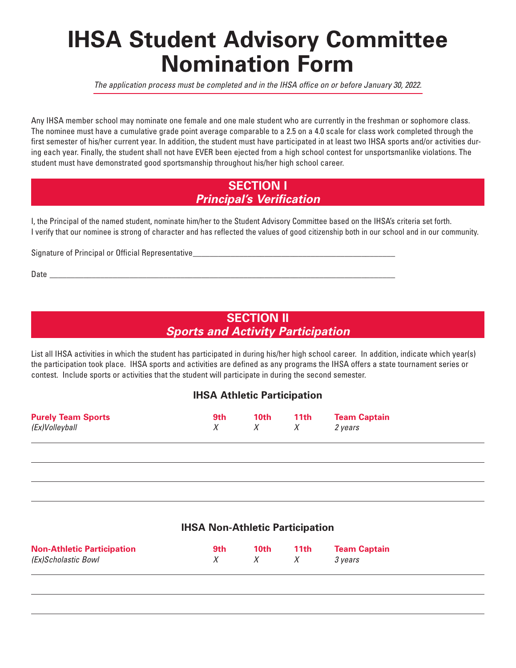# **IHSA Student Advisory Committee Nomination Form**

*The application process must be completed and in the IHSA office on or before January 30, 2022.*

Any IHSA member school may nominate one female and one male student who are currently in the freshman or sophomore class. The nominee must have a cumulative grade point average comparable to a 2.5 on a 4.0 scale for class work completed through the first semester of his/her current year. In addition, the student must have participated in at least two IHSA sports and/or activities during each year. Finally, the student shall not have EVER been ejected from a high school contest for unsportsmanlike violations. The **student must have demonstrated good sportsmanship throughout his/her high school career.**

# **SECTION I** *Principal's Verification*

I, the Principal of the named student, nominate him/her to the Student Advisory Committee based on the IHSA's criteria set forth. I verify that our nominee is strong of character and has reflected the values of good citizenship both in our school and in our community.

**Signature of Principal or Official Representative\_\_\_\_\_\_\_\_\_\_\_\_\_\_\_\_\_\_\_\_\_\_\_\_\_\_\_\_\_\_\_\_\_\_\_\_\_\_\_\_\_\_\_\_\_\_\_\_**

**Date \_\_\_\_\_\_\_\_\_\_\_\_\_\_\_\_\_\_\_\_\_\_\_\_\_\_\_\_\_\_\_\_\_\_\_\_\_\_\_\_\_\_\_\_\_\_\_\_\_\_\_\_\_\_\_\_\_\_\_\_\_\_\_\_\_\_\_\_\_\_\_\_\_\_\_\_\_\_\_\_\_\_**

# **SECTION II** *Sports and Activity Participation*

List all IHSA activities in which the student has participated in during his/her high school career. In addition, indicate which year(s) the participation took place. IHSA sports and activities are defined as any programs the IHSA offers a state tournament series or **contest. Include sports or activities that the student will participate in during the second semester.**

# **IHSA Athletic Participation**

| <b>Purely Team Sports</b><br>(Ex)Volleyball | 9th | 10th<br>$X$ X | <b>11th</b> | <b>Team Captain</b><br>2 vears |  |
|---------------------------------------------|-----|---------------|-------------|--------------------------------|--|
|                                             |     |               |             |                                |  |

## **IHSA Non-Athletic Participation**

| <b>Non-Athletic Participation</b> | 9th | 10th         | 11th | <b>Team Captain</b> |
|-----------------------------------|-----|--------------|------|---------------------|
| (Ex)Scholastic Bowl               | X   | $X \qquad X$ |      | 3 years             |
|                                   |     |              |      |                     |